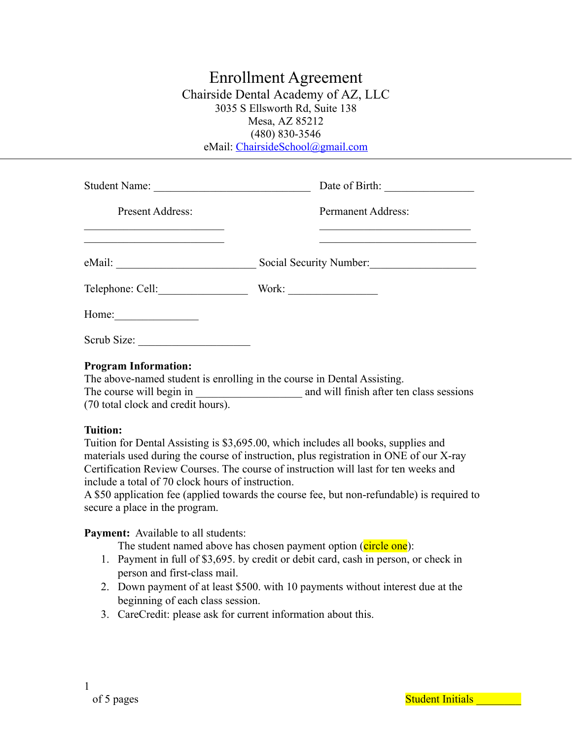# Enrollment Agreement Chairside Dental Academy of AZ, LLC 3035 S Ellsworth Rd, Suite 138 Mesa, AZ 85212 (480) 830-3546 eMail: [ChairsideSchool@gmail.com](mailto:ChairsideSchool@gmail.com)

| Student Name:                                                                                                                              |                                                                                                                                                     |
|--------------------------------------------------------------------------------------------------------------------------------------------|-----------------------------------------------------------------------------------------------------------------------------------------------------|
| Present Address:<br><u> 1989 - Johann Stoff, deutscher Stoffen und der Stoffen und der Stoffen und der Stoffen und der Stoffen und der</u> | <b>Permanent Address:</b><br><u> 1980 - Johann Stein, marwolaethau a bhann an t-Amhair an t-Amhair an t-Amhair an t-Amhair an t-Amhair an t-Amh</u> |
| <u> 1980 - Johann John Stone, mars and de final de la provincia de la provincia de la provincia de la provincia d</u>                      | Social Security Number:                                                                                                                             |
| Telephone: Cell:                                                                                                                           | Work: $\qquad \qquad$                                                                                                                               |
| Home: $\qquad \qquad$                                                                                                                      |                                                                                                                                                     |
| Scrub Size:                                                                                                                                |                                                                                                                                                     |
| $\sim$ $\sim$ $\sim$ $\sim$ $\sim$                                                                                                         |                                                                                                                                                     |

#### **Program Information:**

The above-named student is enrolling in the course in Dental Assisting. The course will begin in and will finish after ten class sessions (70 total clock and credit hours).

#### **Tuition:**

Tuition for Dental Assisting is \$3,695.00, which includes all books, supplies and materials used during the course of instruction, plus registration in ONE of our X-ray Certification Review Courses. The course of instruction will last for ten weeks and include a total of 70 clock hours of instruction.

A \$50 application fee (applied towards the course fee, but non-refundable) is required to secure a place in the program.

**Payment:** Available to all students:

The student named above has chosen payment option (circle one):

- 1. Payment in full of \$3,695. by credit or debit card, cash in person, or check in person and first-class mail.
- 2. Down payment of at least \$500. with 10 payments without interest due at the beginning of each class session.
- 3. CareCredit: please ask for current information about this.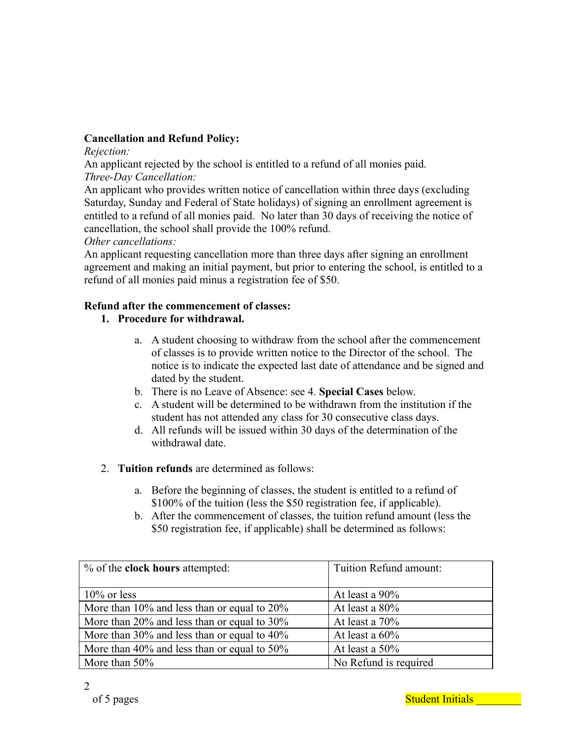# **Cancellation and Refund Policy:**

*Rejection:*

An applicant rejected by the school is entitled to a refund of all monies paid. *Three-Day Cancellation:*

An applicant who provides written notice of cancellation within three days (excluding Saturday, Sunday and Federal of State holidays) of signing an enrollment agreement is entitled to a refund of all monies paid. No later than 30 days of receiving the notice of cancellation, the school shall provide the 100% refund.

*Other cancellations:*

An applicant requesting cancellation more than three days after signing an enrollment agreement and making an initial payment, but prior to entering the school, is entitled to a refund of all monies paid minus a registration fee of \$50.

## **Refund after the commencement of classes:**

# **1. Procedure for withdrawal.**

- a. A student choosing to withdraw from the school after the commencement of classes is to provide written notice to the Director of the school. The notice is to indicate the expected last date of attendance and be signed and dated by the student.
- b. There is no Leave of Absence: see 4. **Special Cases** below.
- c. A student will be determined to be withdrawn from the institution if the student has not attended any class for 30 consecutive class days.
- d. All refunds will be issued within 30 days of the determination of the withdrawal date.
- 2. **Tuition refunds** are determined as follows:
	- a. Before the beginning of classes, the student is entitled to a refund of \$100% of the tuition (less the \$50 registration fee, if applicable).
	- b. After the commencement of classes, the tuition refund amount (less the \$50 registration fee, if applicable) shall be determined as follows:

| % of the <b>clock hours</b> attempted:      | Tuition Refund amount: |
|---------------------------------------------|------------------------|
|                                             |                        |
| $10\%$ or less                              | At least a 90%         |
| More than 10% and less than or equal to 20% | At least a $80\%$      |
| More than 20% and less than or equal to 30% | At least a 70%         |
| More than 30% and less than or equal to 40% | At least a $60\%$      |
| More than 40% and less than or equal to 50% | At least a 50%         |
| More than $50\%$                            | No Refund is required  |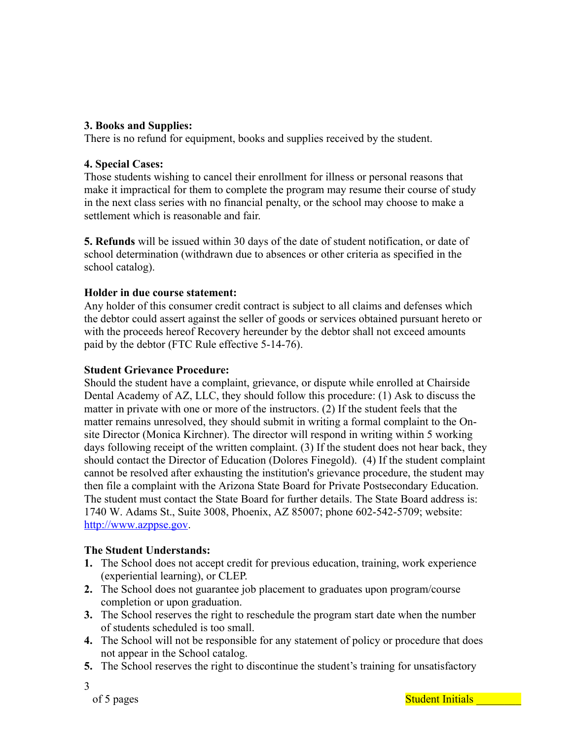# **3. Books and Supplies:**

There is no refund for equipment, books and supplies received by the student.

## **4. Special Cases:**

Those students wishing to cancel their enrollment for illness or personal reasons that make it impractical for them to complete the program may resume their course of study in the next class series with no financial penalty, or the school may choose to make a settlement which is reasonable and fair.

**5. Refunds** will be issued within 30 days of the date of student notification, or date of school determination (withdrawn due to absences or other criteria as specified in the school catalog).

#### **Holder in due course statement:**

Any holder of this consumer credit contract is subject to all claims and defenses which the debtor could assert against the seller of goods or services obtained pursuant hereto or with the proceeds hereof Recovery hereunder by the debtor shall not exceed amounts paid by the debtor (FTC Rule effective 5-14-76).

#### **Student Grievance Procedure:**

Should the student have a complaint, grievance, or dispute while enrolled at Chairside Dental Academy of AZ, LLC, they should follow this procedure: (1) Ask to discuss the matter in private with one or more of the instructors. (2) If the student feels that the matter remains unresolved, they should submit in writing a formal complaint to the Onsite Director (Monica Kirchner). The director will respond in writing within 5 working days following receipt of the written complaint. (3) If the student does not hear back, they should contact the Director of Education (Dolores Finegold). (4) If the student complaint cannot be resolved after exhausting the institution's grievance procedure, the student may then file a complaint with the Arizona State Board for Private Postsecondary Education. The student must contact the State Board for further details. The State Board address is: 1740 W. Adams St., Suite 3008, Phoenix, AZ 85007; phone 602-542-5709; website: [http://www.azppse.gov](http://www.azppse.gov/).

## **The Student Understands:**

- **1.** The School does not accept credit for previous education, training, work experience (experiential learning), or CLEP.
- **2.** The School does not guarantee job placement to graduates upon program/course completion or upon graduation.
- **3.** The School reserves the right to reschedule the program start date when the number of students scheduled is too small.
- **4.** The School will not be responsible for any statement of policy or procedure that does not appear in the School catalog.
- **5.** The School reserves the right to discontinue the student's training for unsatisfactory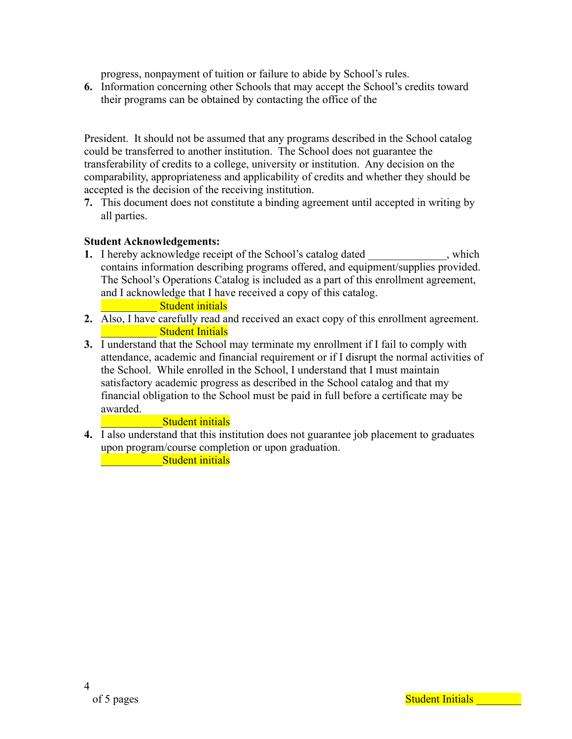progress, nonpayment of tuition or failure to abide by School's rules.

**6.** Information concerning other Schools that may accept the School's credits toward their programs can be obtained by contacting the office of the

President. It should not be assumed that any programs described in the School catalog could be transferred to another institution. The School does not guarantee the transferability of credits to a college, university or institution. Any decision on the comparability, appropriateness and applicability of credits and whether they should be accepted is the decision of the receiving institution.

**7.** This document does not constitute a binding agreement until accepted in writing by all parties.

## **Student Acknowledgements:**

**1.** I hereby acknowledge receipt of the School's catalog dated , which contains information describing programs offered, and equipment/supplies provided. The School's Operations Catalog is included as a part of this enrollment agreement, and I acknowledge that I have received a copy of this catalog.

#### **Example 15 Student initials**

- **2.** Also, I have carefully read and received an exact copy of this enrollment agreement. \_\_\_\_\_\_\_\_\_\_ Student Initials
- **3.** I understand that the School may terminate my enrollment if I fail to comply with attendance, academic and financial requirement or if I disrupt the normal activities of the School. While enrolled in the School, I understand that I must maintain satisfactory academic progress as described in the School catalog and that my financial obligation to the School must be paid in full before a certificate may be awarded.

## **Example 15 Student initials**

**4.** I also understand that this institution does not guarantee job placement to graduates upon program/course completion or upon graduation.

**Example 2.1 Student initials**